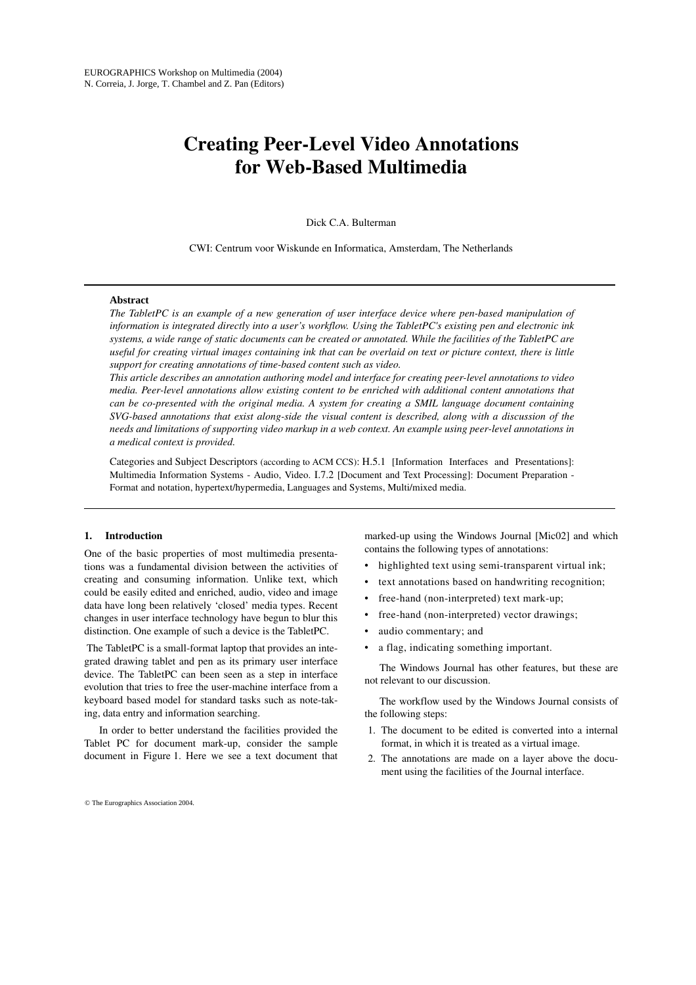# **Creating Peer-Level Video Annotations for Web-Based Multimedia**

Dick C.A. Bulterman

CWI: Centrum voor Wiskunde en Informatica, Amsterdam, The Netherlands

# **Abstract**

*The TabletPC is an example of a new generation of user interface device where pen-based manipulation of information is integrated directly into a user's workflow. Using the TabletPC's existing pen and electronic ink systems, a wide range of static documents can be created or annotated. While the facilities of the TabletPC are useful for creating virtual images containing ink that can be overlaid on text or picture context, there is little support for creating annotations of time-based content such as video.* 

*This article describes an annotation authoring model and interface for creating peer-level annotations to video media. Peer-level annotations allow existing content to be enriched with additional content annotations that can be co-presented with the original media. A system for creating a SMIL language document containing SVG-based annotations that exist along-side the visual content is described, along with a discussion of the needs and limitations of supporting video markup in a web context. An example using peer-level annotations in a medical context is provided.*

Categories and Subject Descriptors (according to ACM CCS): H.5.1 [Information Interfaces and Presentations]: Multimedia Information Systems - Audio, Video. I.7.2 [Document and Text Processing]: Document Preparation - Format and notation, hypertext/hypermedia, Languages and Systems, Multi/mixed media.

## **1. Introduction**

One of the basic properties of most multimedia presentations was a fundamental division between the activities of creating and consuming information. Unlike text, which could be easily edited and enriched, audio, video and image data have long been relatively 'closed' media types. Recent changes in user interface technology have begun to blur this distinction. One example of such a device is the TabletPC.

 The TabletPC is a small-format laptop that provides an integrated drawing tablet and pen as its primary user interface device. The TabletPC can been seen as a step in interface evolution that tries to free the user-machine interface from a keyboard based model for standard tasks such as note-taking, data entry and information searching.

In order to better understand the facilities provided the Tablet PC for document mark-up, consider the sample document in Figure 1. Here we see a text document that

© The Eurographics Association 2004.

marked-up using the Windows Journal [Mic02] and which contains the following types of annotations:

- highlighted text using semi-transparent virtual ink;
- text annotations based on handwriting recognition;
- free-hand (non-interpreted) text mark-up;
- free-hand (non-interpreted) vector drawings;
- audio commentary; and
- a flag, indicating something important.

The Windows Journal has other features, but these are not relevant to our discussion.

The workflow used by the Windows Journal consists of the following steps:

- 1. The document to be edited is converted into a internal format, in which it is treated as a virtual image.
- 2. The annotations are made on a layer above the document using the facilities of the Journal interface.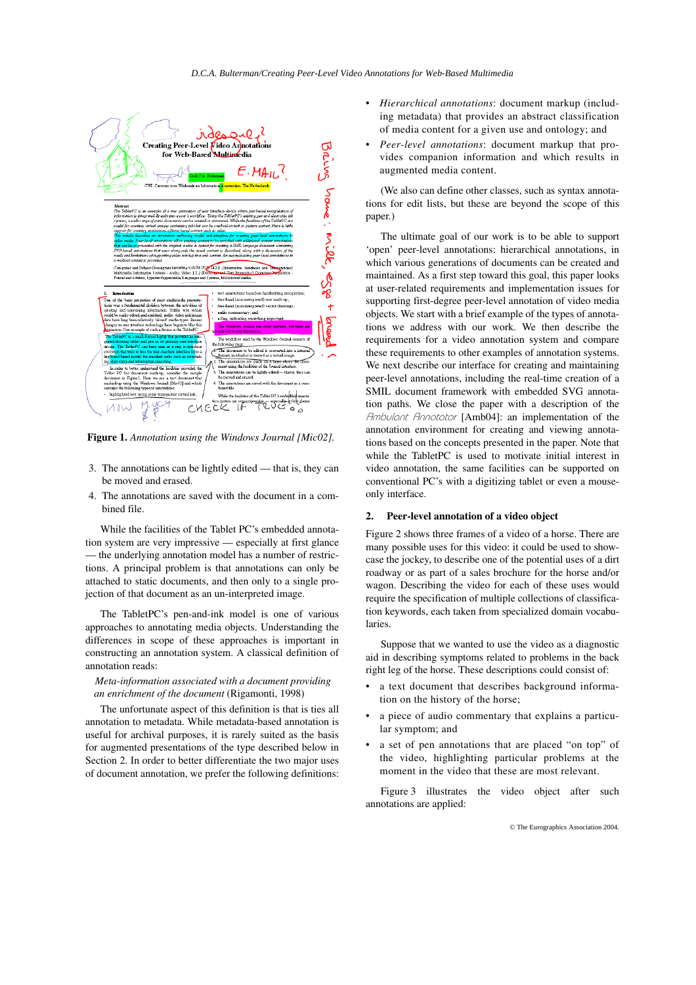

**Figure 1.** *Annotation using the Windows Journal [Mic02].*

- 3. The annotations can be lightly edited that is, they can be moved and erased.
- 4. The annotations are saved with the document in a combined file.

While the facilities of the Tablet PC's embedded annotation system are very impressive — especially at first glance — the underlying annotation model has a number of restrictions. A principal problem is that annotations can only be attached to static documents, and then only to a single projection of that document as an un-interpreted image.

The TabletPC's pen-and-ink model is one of various approaches to annotating media objects. Understanding the differences in scope of these approaches is important in constructing an annotation system. A classical definition of annotation reads:

## *Meta-information associated with a document providing an enrichment of the document* (Rigamonti, 1998)

The unfortunate aspect of this definition is that is ties all annotation to metadata. While metadata-based annotation is useful for archival purposes, it is rarely suited as the basis for augmented presentations of the type described below in Section 2. In order to better differentiate the two major uses of document annotation, we prefer the following definitions:

- *Hierarchical annotations*: document markup (including metadata) that provides an abstract classification of media content for a given use and ontology; and
- *Peer-level annotations*: document markup that provides companion information and which results in augmented media content.

(We also can define other classes, such as syntax annotations for edit lists, but these are beyond the scope of this paper.)

The ultimate goal of our work is to be able to support 'open' peer-level annotations: hierarchical annotations, in which various generations of documents can be created and maintained. As a first step toward this goal, this paper looks at user-related requirements and implementation issues for supporting first-degree peer-level annotation of video media objects. We start with a brief example of the types of annotations we address with our work. We then describe the requirements for a video annotation system and compare these requirements to other examples of annotation systems. We next describe our interface for creating and maintaining peer-level annotations, including the real-time creation of a SMIL document framework with embedded SVG annotation paths. We close the paper with a description of the Ambulant Annotator [Amb04]: an implementation of the annotation environment for creating and viewing annotations based on the concepts presented in the paper. Note that while the TabletPC is used to motivate initial interest in video annotation, the same facilities can be supported on conventional PC's with a digitizing tablet or even a mouseonly interface.

## **2. Peer-level annotation of a video object**

Figure 2 shows three frames of a video of a horse. There are many possible uses for this video: it could be used to showcase the jockey, to describe one of the potential uses of a dirt roadway or as part of a sales brochure for the horse and/or wagon. Describing the video for each of these uses would require the specification of multiple collections of classification keywords, each taken from specialized domain vocabularies.

Suppose that we wanted to use the video as a diagnostic aid in describing symptoms related to problems in the back right leg of the horse. These descriptions could consist of:

- a text document that describes background information on the history of the horse;
- a piece of audio commentary that explains a particular symptom; and
- a set of pen annotations that are placed "on top" of the video, highlighting particular problems at the moment in the video that these are most relevant.

Figure 3 illustrates the video object after such annotations are applied: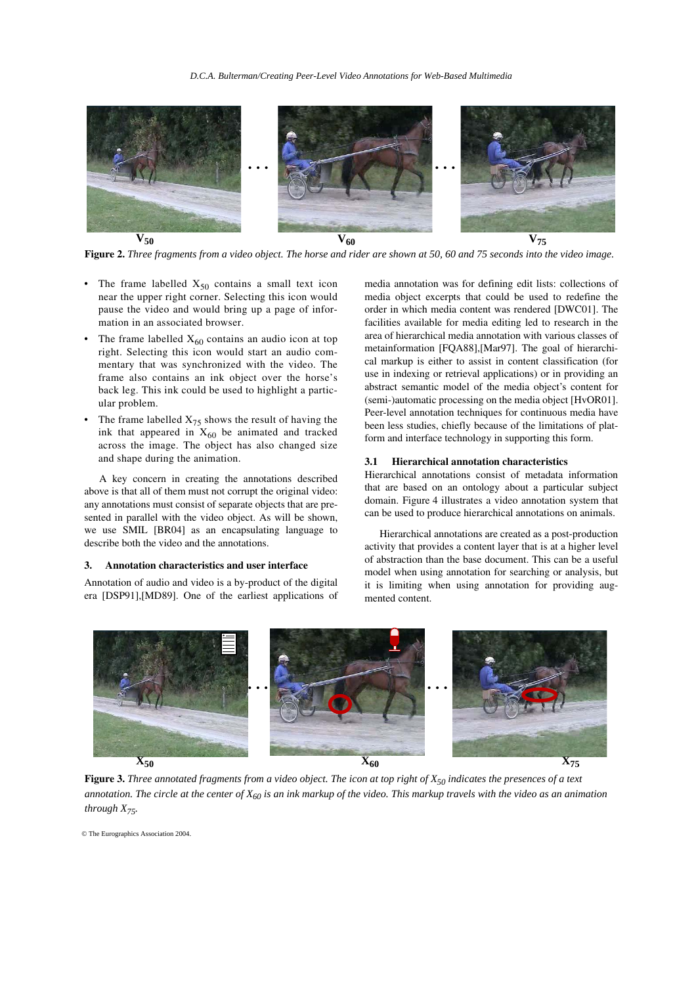

**Figure 2.** *Three fragments from a video object. The horse and rider are shown at 50, 60 and 75 seconds into the video image.*

- The frame labelled  $X_{50}$  contains a small text icon near the upper right corner. Selecting this icon would pause the video and would bring up a page of information in an associated browser.
- The frame labelled  $X_{60}$  contains an audio icon at top right. Selecting this icon would start an audio commentary that was synchronized with the video. The frame also contains an ink object over the horse's back leg. This ink could be used to highlight a particular problem.
- The frame labelled  $X_{75}$  shows the result of having the ink that appeared in  $X_{60}$  be animated and tracked across the image. The object has also changed size and shape during the animation.

A key concern in creating the annotations described above is that all of them must not corrupt the original video: any annotations must consist of separate objects that are presented in parallel with the video object. As will be shown, we use SMIL [BR04] as an encapsulating language to describe both the video and the annotations.

## **3. Annotation characteristics and user interface**

Annotation of audio and video is a by-product of the digital era [DSP91],[MD89]. One of the earliest applications of media annotation was for defining edit lists: collections of media object excerpts that could be used to redefine the order in which media content was rendered [DWC01]. The facilities available for media editing led to research in the area of hierarchical media annotation with various classes of metainformation [FQA88],[Mar97]. The goal of hierarchical markup is either to assist in content classification (for use in indexing or retrieval applications) or in providing an abstract semantic model of the media object's content for (semi-)automatic processing on the media object [HvOR01]. Peer-level annotation techniques for continuous media have been less studies, chiefly because of the limitations of platform and interface technology in supporting this form.

#### **3.1 Hierarchical annotation characteristics**

Hierarchical annotations consist of metadata information that are based on an ontology about a particular subject domain. Figure 4 illustrates a video annotation system that can be used to produce hierarchical annotations on animals.

Hierarchical annotations are created as a post-production activity that provides a content layer that is at a higher level of abstraction than the base document. This can be a useful model when using annotation for searching or analysis, but it is limiting when using annotation for providing augmented content.



**Figure 3.** *Three annotated fragments from a video object. The icon at top right of X<sub>50</sub> indicates the presences of a text annotation. The circle at the center of X60 is an ink markup of the video. This markup travels with the video as an animation through X75.*

© The Eurographics Association 2004.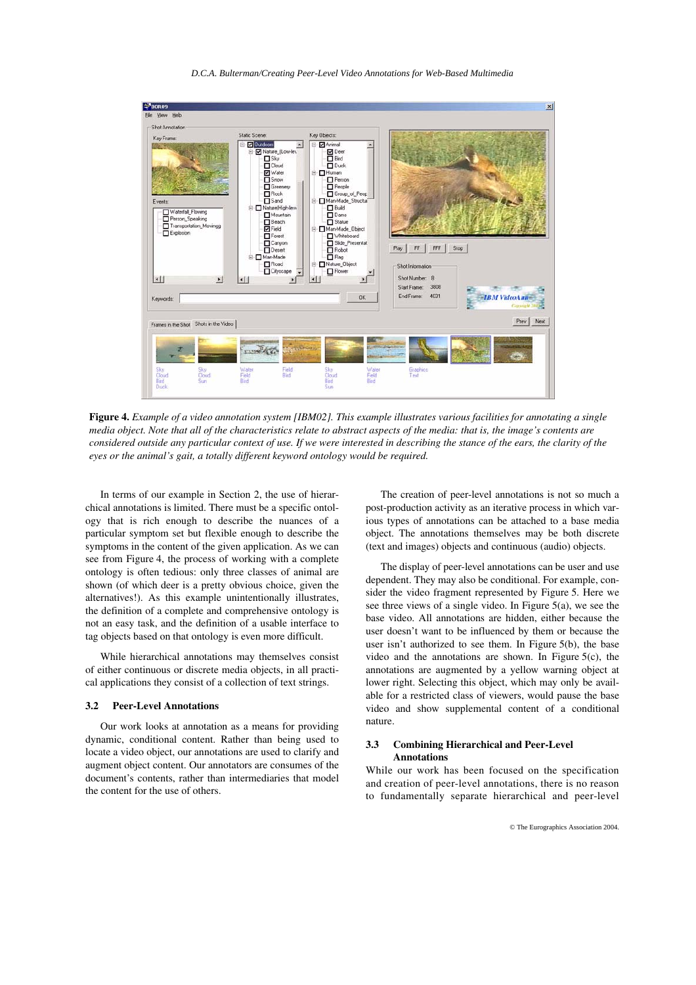*D.C.A. Bulterman/Creating Peer-Level Video Annotations for Web-Based Multimedia*



**Figure 4.** *Example of a video annotation system [IBM02]. This example illustrates various facilities for annotating a single media object. Note that all of the characteristics relate to abstract aspects of the media: that is, the image's contents are considered outside any particular context of use. If we were interested in describing the stance of the ears, the clarity of the eyes or the animal's gait, a totally different keyword ontology would be required.* 

In terms of our example in Section 2, the use of hierarchical annotations is limited. There must be a specific ontology that is rich enough to describe the nuances of a particular symptom set but flexible enough to describe the symptoms in the content of the given application. As we can see from Figure 4, the process of working with a complete ontology is often tedious: only three classes of animal are shown (of which deer is a pretty obvious choice, given the alternatives!). As this example unintentionally illustrates, the definition of a complete and comprehensive ontology is not an easy task, and the definition of a usable interface to tag objects based on that ontology is even more difficult.

While hierarchical annotations may themselves consist of either continuous or discrete media objects, in all practical applications they consist of a collection of text strings.

#### **3.2 Peer-Level Annotations**

Our work looks at annotation as a means for providing dynamic, conditional content. Rather than being used to locate a video object, our annotations are used to clarify and augment object content. Our annotators are consumes of the document's contents, rather than intermediaries that model the content for the use of others.

The creation of peer-level annotations is not so much a post-production activity as an iterative process in which various types of annotations can be attached to a base media object. The annotations themselves may be both discrete (text and images) objects and continuous (audio) objects.

The display of peer-level annotations can be user and use dependent. They may also be conditional. For example, consider the video fragment represented by Figure 5. Here we see three views of a single video. In Figure 5(a), we see the base video. All annotations are hidden, either because the user doesn't want to be influenced by them or because the user isn't authorized to see them. In Figure 5(b), the base video and the annotations are shown. In Figure 5(c), the annotations are augmented by a yellow warning object at lower right. Selecting this object, which may only be available for a restricted class of viewers, would pause the base video and show supplemental content of a conditional nature.

## **3.3 Combining Hierarchical and Peer-Level Annotations**

While our work has been focused on the specification and creation of peer-level annotations, there is no reason to fundamentally separate hierarchical and peer-level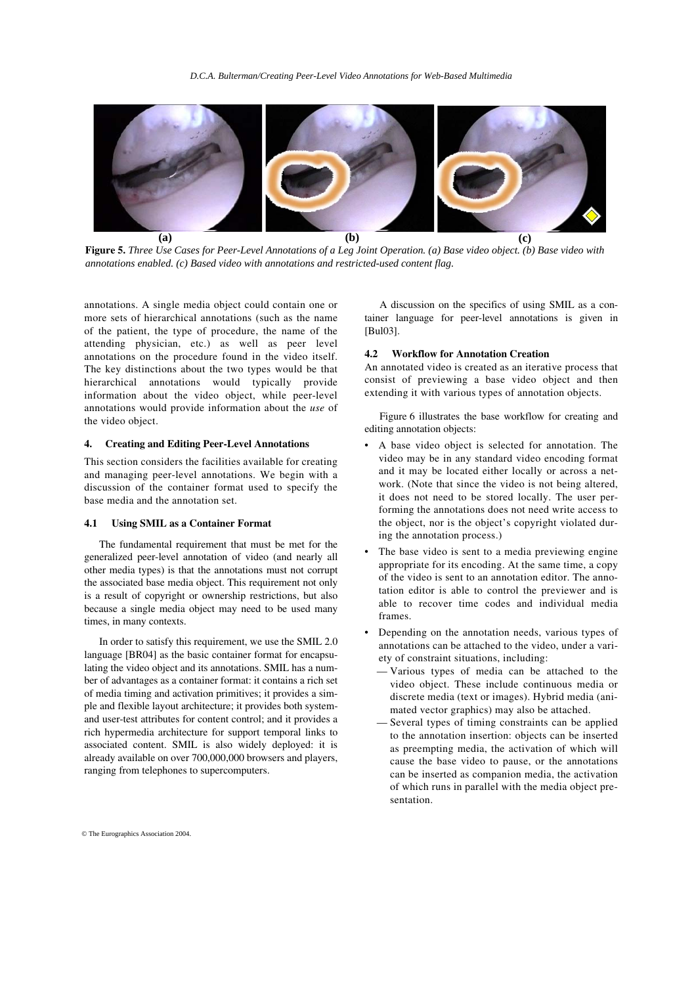

**Figure 5.** *Three Use Cases for Peer-Level Annotations of a Leg Joint Operation. (a) Base video object. (b) Base video with annotations enabled. (c) Based video with annotations and restricted-used content flag.*

annotations. A single media object could contain one or more sets of hierarchical annotations (such as the name of the patient, the type of procedure, the name of the attending physician, etc.) as well as peer level annotations on the procedure found in the video itself. The key distinctions about the two types would be that hierarchical annotations would typically provide information about the video object, while peer-level annotations would provide information about the *use* of the video object.

# **4. Creating and Editing Peer-Level Annotations**

This section considers the facilities available for creating and managing peer-level annotations. We begin with a discussion of the container format used to specify the base media and the annotation set.

#### **4.1 Using SMIL as a Container Format**

The fundamental requirement that must be met for the generalized peer-level annotation of video (and nearly all other media types) is that the annotations must not corrupt the associated base media object. This requirement not only is a result of copyright or ownership restrictions, but also because a single media object may need to be used many times, in many contexts.

In order to satisfy this requirement, we use the SMIL 2.0 language [BR04] as the basic container format for encapsulating the video object and its annotations. SMIL has a number of advantages as a container format: it contains a rich set of media timing and activation primitives; it provides a simple and flexible layout architecture; it provides both systemand user-test attributes for content control; and it provides a rich hypermedia architecture for support temporal links to associated content. SMIL is also widely deployed: it is already available on over 700,000,000 browsers and players, ranging from telephones to supercomputers.

A discussion on the specifics of using SMIL as a container language for peer-level annotations is given in [Bul03].

## **4.2 Workflow for Annotation Creation**

An annotated video is created as an iterative process that consist of previewing a base video object and then extending it with various types of annotation objects.

Figure 6 illustrates the base workflow for creating and editing annotation objects:

- A base video object is selected for annotation. The video may be in any standard video encoding format and it may be located either locally or across a network. (Note that since the video is not being altered, it does not need to be stored locally. The user performing the annotations does not need write access to the object, nor is the object's copyright violated during the annotation process.)
- The base video is sent to a media previewing engine appropriate for its encoding. At the same time, a copy of the video is sent to an annotation editor. The annotation editor is able to control the previewer and is able to recover time codes and individual media frames.
- Depending on the annotation needs, various types of annotations can be attached to the video, under a variety of constraint situations, including:
	- Various types of media can be attached to the video object. These include continuous media or discrete media (text or images). Hybrid media (animated vector graphics) may also be attached.
	- Several types of timing constraints can be applied to the annotation insertion: objects can be inserted as preempting media, the activation of which will cause the base video to pause, or the annotations can be inserted as companion media, the activation of which runs in parallel with the media object presentation.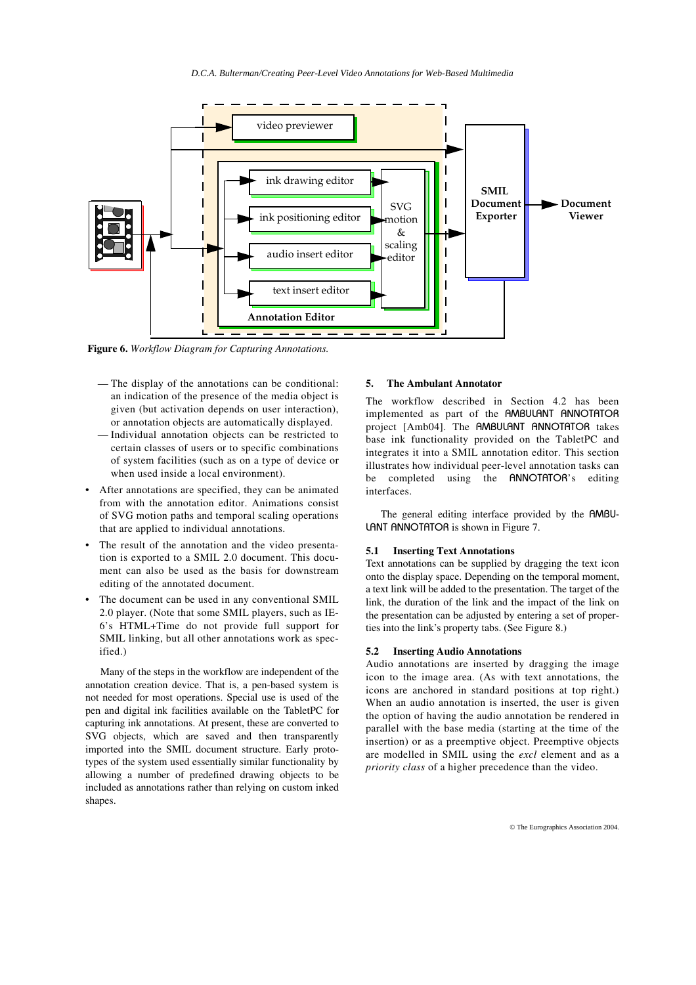*D.C.A. Bulterman/Creating Peer-Level Video Annotations for Web-Based Multimedia*



**Figure 6.** *Workflow Diagram for Capturing Annotations.*

- The display of the annotations can be conditional: an indication of the presence of the media object is given (but activation depends on user interaction), or annotation objects are automatically displayed.
- Individual annotation objects can be restricted to certain classes of users or to specific combinations of system facilities (such as on a type of device or when used inside a local environment).
- After annotations are specified, they can be animated from with the annotation editor. Animations consist of SVG motion paths and temporal scaling operations that are applied to individual annotations.
- The result of the annotation and the video presentation is exported to a SMIL 2.0 document. This document can also be used as the basis for downstream editing of the annotated document.
- The document can be used in any conventional SMIL 2.0 player. (Note that some SMIL players, such as IE-6's HTML+Time do not provide full support for SMIL linking, but all other annotations work as specified.)

Many of the steps in the workflow are independent of the annotation creation device. That is, a pen-based system is not needed for most operations. Special use is used of the pen and digital ink facilities available on the TabletPC for capturing ink annotations. At present, these are converted to SVG objects, which are saved and then transparently imported into the SMIL document structure. Early prototypes of the system used essentially similar functionality by allowing a number of predefined drawing objects to be included as annotations rather than relying on custom inked shapes.

## **5. The Ambulant Annotator**

The workflow described in Section 4.2 has been implemented as part of the AMBULANT ANNOTATOR project [Amb04]. The AMBULANT ANNOTATOR takes base ink functionality provided on the TabletPC and integrates it into a SMIL annotation editor. This section illustrates how individual peer-level annotation tasks can be completed using the ANNOTATOR's editing interfaces.

The general editing interface provided by the AMBU-LANT ANNOTATOR is shown in Figure 7.

#### **5.1 Inserting Text Annotations**

Text annotations can be supplied by dragging the text icon onto the display space. Depending on the temporal moment, a text link will be added to the presentation. The target of the link, the duration of the link and the impact of the link on the presentation can be adjusted by entering a set of properties into the link's property tabs. (See Figure 8.)

#### **5.2 Inserting Audio Annotations**

Audio annotations are inserted by dragging the image icon to the image area. (As with text annotations, the icons are anchored in standard positions at top right.) When an audio annotation is inserted, the user is given the option of having the audio annotation be rendered in parallel with the base media (starting at the time of the insertion) or as a preemptive object. Preemptive objects are modelled in SMIL using the *excl* element and as a *priority class* of a higher precedence than the video.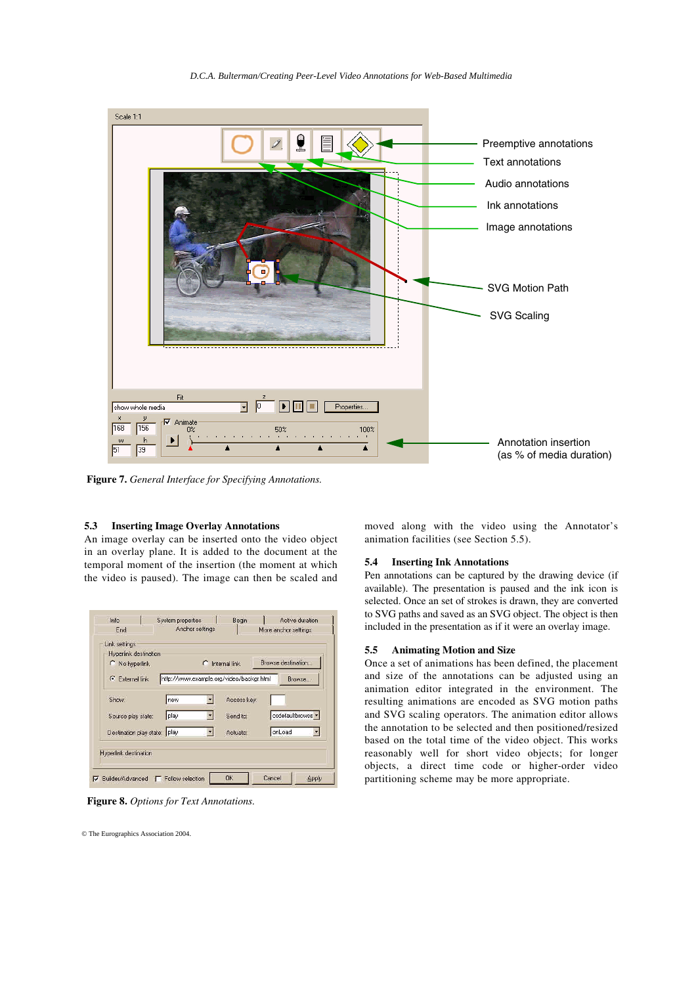![](_page_6_Figure_0.jpeg)

*D.C.A. Bulterman/Creating Peer-Level Video Annotations for Web-Based Multimedia*

**Figure 7.** *General Interface for Specifying Annotations.*

## **5.3 Inserting Image Overlay Annotations**

An image overlay can be inserted onto the video object in an overlay plane. It is added to the document at the temporal moment of the insertion (the moment at which the video is paused). The image can then be scaled and

| Link settings<br>Hyperlink destination |                                          |             |                    |
|----------------------------------------|------------------------------------------|-------------|--------------------|
| C No hyperlink                         | Internal link<br>c                       |             | Browse destination |
| C External link                        | http://www.example.org/video/backgr.html |             | Browse             |
| Show:                                  | new                                      | Access key: |                    |
| Source play state:                     | play                                     | Send to:    | osdefaultbrowse -  |
| Destination play state: play           |                                          | Actuate:    | onLoad             |
| <b>Hyperlink destination</b>           |                                          |             |                    |

**Figure 8.** *Options for Text Annotations.*

© The Eurographics Association 2004.

moved along with the video using the Annotator's animation facilities (see Section 5.5).

## **5.4 Inserting Ink Annotations**

Pen annotations can be captured by the drawing device (if available). The presentation is paused and the ink icon is selected. Once an set of strokes is drawn, they are converted to SVG paths and saved as an SVG object. The object is then included in the presentation as if it were an overlay image.

## **5.5 Animating Motion and Size**

Once a set of animations has been defined, the placement and size of the annotations can be adjusted using an animation editor integrated in the environment. The resulting animations are encoded as SVG motion paths and SVG scaling operators. The animation editor allows the annotation to be selected and then positioned/resized based on the total time of the video object. This works reasonably well for short video objects; for longer objects, a direct time code or higher-order video partitioning scheme may be more appropriate.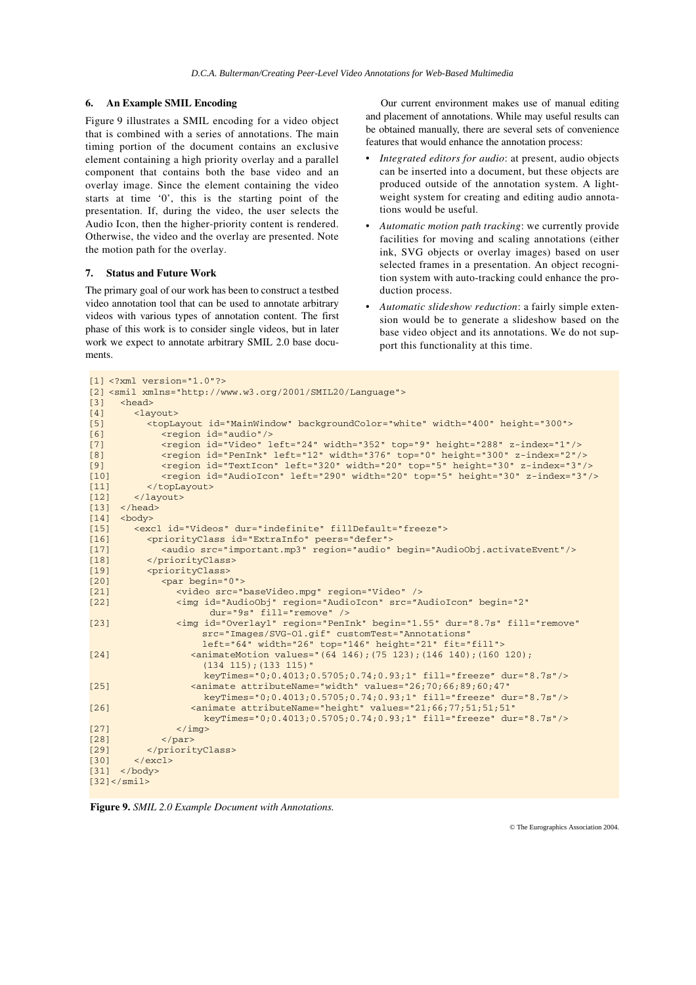## **6. An Example SMIL Encoding**

Figure 9 illustrates a SMIL encoding for a video object that is combined with a series of annotations. The main timing portion of the document contains an exclusive element containing a high priority overlay and a parallel component that contains both the base video and an overlay image. Since the element containing the video starts at time '0', this is the starting point of the presentation. If, during the video, the user selects the Audio Icon, then the higher-priority content is rendered. Otherwise, the video and the overlay are presented. Note the motion path for the overlay.

## **7. Status and Future Work**

The primary goal of our work has been to construct a testbed video annotation tool that can be used to annotate arbitrary videos with various types of annotation content. The first phase of this work is to consider single videos, but in later work we expect to annotate arbitrary SMIL 2.0 base documents.

Our current environment makes use of manual editing and placement of annotations. While may useful results can be obtained manually, there are several sets of convenience features that would enhance the annotation process:

- *Integrated editors for audio*: at present, audio objects can be inserted into a document, but these objects are produced outside of the annotation system. A lightweight system for creating and editing audio annotations would be useful.
- *Automatic motion path tracking*: we currently provide facilities for moving and scaling annotations (either ink, SVG objects or overlay images) based on user selected frames in a presentation. An object recognition system with auto-tracking could enhance the production process.
- *Automatic slideshow reduction*: a fairly simple extension would be to generate a slideshow based on the base video object and its annotations. We do not support this functionality at this time.

```
[1] <?xml version="1.0"?>
[2] <smil xmlns="http://www.w3.org/2001/SMIL20/Language">
[3] <head>
[4] <layout>
[5] <topLayout id="MainWindow" backgroundColor="white" width="400" height="300">
[6] <region id="audio"/>
[7] <region id="Video" left="24" width="352" top="9" height="288" z-index="1"/>
[8] <region id="PenInk" left="12" width="376" top="0" height="300" z-index="2"/>
[9] <region id="TextIcon" left="320" width="20" top="5" height="30" z-index="3"/>
[10] <region id="AudioIcon" left="290" width="20" top="5" height="30" z-index="3"/>
[11] </topLayout>
[12] </layout>
[13] \langlehead><br>[14] \langlebody>
[14] <br/>body><br>[15] <ex
       <excl id="Videos" dur="indefinite" fillDefault="freeze">
[16] <priorityClass id="ExtraInfo" peers="defer">
[17] <audio src="important.mp3" region="audio" begin="AudioObj.activateEvent"/>
[18] </priorityClass>
[19] <priorityClass>
            [20] <par begin="0">
[21] <video src="baseVideo.mpg" region="Video" />
[22] <img id="AudioObj" region="AudioIcon" src="AudioIcon" begin="2"
                      dur="9s" fill="remove" />
[23] <img id="Overlay1" region="PenInk" begin="1.55" dur="8.7s" fill="remove" 
                   src="Images/SVG-O1.gif" customTest="Annotations" 
                   left="64" width="26" top="146" height="21" fit="fill">
[24] <animateMotion values="(64 146);(75 123);(146 140);(160 120);
                     (134 115);(133 115)" 
                    keyTimes="0;0.4013;0.5705;0.74;0.93;1" fill="freeze" dur="8.7s"/>
[25] <animate attributeName="width" values="26;70;66;89;60;47"
                   keyTimes="0;0.4013;0.5705;0.74;0.93;1" fill="freeze" dur="8.7s"/>
[26] <animate attributeName="height" values="21;66;77;51;51;51" 
                    keyTimes="0;0.4013;0.5705;0.74;0.93;1" fill="freeze" dur="8.7s"/>
\begin{array}{cc} [27] & \times /img > \\ [28] & \times /par > \end{array}\langle/par>
[29] </priorityClass>
[30] \langle/excl>
[31] </body>
[32]</smil
```
**Figure 9.** *SMIL 2.0 Example Document with Annotations.*

© The Eurographics Association 2004.